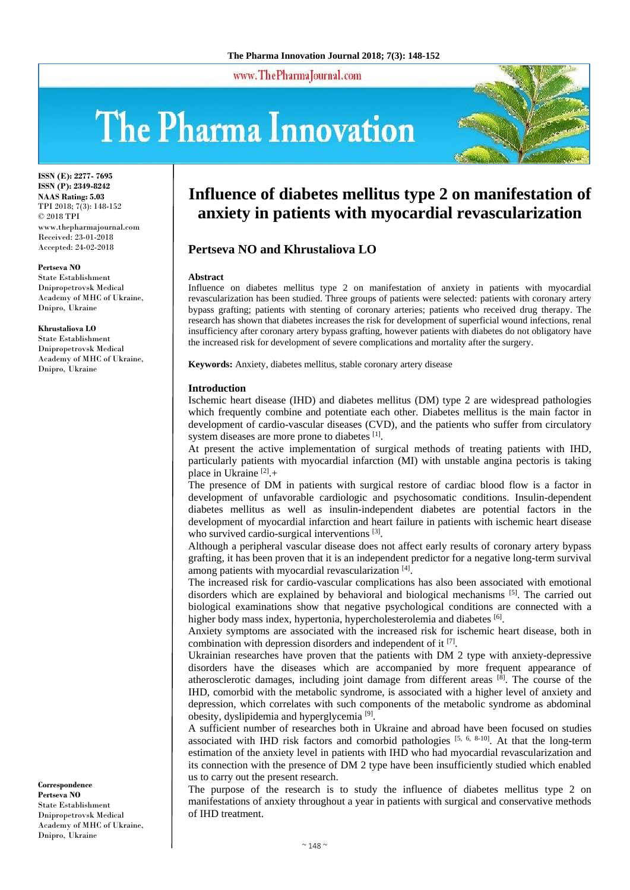www.ThePharmaJournal.com

# The Pharma Innovation



**ISSN (E): 2277- 7695 ISSN (P): 2349-8242 NAAS Rating: 5.03** TPI 2018; 7(3): 148-152 © 2018 TPI www.thepharmajournal.com Received: 23-01-2018 Accepted: 24-02-2018

**Pertseva NO** State Establishment Dnipropetrovsk Medical Academy of MHC of Ukraine,

Dnipro, Ukraine

**Khrustaliova LO** State Establishment Dnipropetrovsk Medical Academy of MHC of Ukraine, Dnipro, Ukraine

#### **Correspondence Pertseva NO** State Establishment Dnipropetrovsk Medical Academy of MHC of Ukraine, Dnipro, Ukraine

# **Influence of diabetes mellitus type 2 on manifestation of anxiety in patients with myocardial revascularization**

# **Pertseva NO and Khrustaliova LO**

### **Abstract**

Influence on diabetes mellitus type 2 on manifestation of anxiety in patients with myocardial revascularization has been studied. Three groups of patients were selected: patients with coronary artery bypass grafting; patients with stenting of coronary arteries; patients who received drug therapy. The research has shown that diabetes increases the risk for development of superficial wound infections, renal insufficiency after coronary artery bypass grafting, however patients with diabetes do not obligatory have the increased risk for development of severe complications and mortality after the surgery.

**Keywords:** Anxiety, diabetes mellitus, stable coronary artery disease

## **Introduction**

Ischemic heart disease (IHD) and diabetes mellitus (DM) type 2 are widespread pathologies which frequently combine and potentiate each other. Diabetes mellitus is the main factor in development of cardio-vascular diseases (CVD), and the patients who suffer from circulatory system diseases are more prone to diabetes [1].

At present the active implementation of surgical methods of treating patients with IHD, particularly patients with myocardial infarction (MI) with unstable angina pectoris is taking place in Ukraine<sup>[2]</sup>.+

The presence of DM in patients with surgical restore of cardiac blood flow is a factor in development of unfavorable cardiologic and psychosomatic conditions. Insulin-dependent diabetes mellitus as well as insulin-independent diabetes are potential factors in the development of myocardial infarction and heart failure in patients with ischemic heart disease who survived cardio-surgical interventions [3].

Although a peripheral vascular disease does not affect early results of coronary artery bypass grafting, it has been proven that it is an independent predictor for a negative long-term survival among patients with myocardial revascularization [4].

The increased risk for cardio-vascular complications has also been associated with emotional disorders which are explained by behavioral and biological mechanisms [5]. The carried out biological examinations show that negative psychological conditions are connected with a higher body mass index, hypertonia, hypercholesterolemia and diabetes [6].

Anxiety symptoms are associated with the increased risk for ischemic heart disease, both in combination with depression disorders and independent of it  $[7]$ .

Ukrainian researches have proven that the patients with DM 2 type with anxiety-depressive disorders have the diseases which are accompanied by more frequent appearance of atherosclerotic damages, including joint damage from different areas <sup>[8]</sup>. The course of the IHD, comorbid with the metabolic syndrome, is associated with a higher level of anxiety and depression, which correlates with such components of the metabolic syndrome as abdominal obesity, dyslipidemia and hyperglycemia<sup>[9]</sup>.

A sufficient number of researches both in Ukraine and abroad have been focused on studies associated with IHD risk factors and comorbid pathologies [5, 6, 8-10]. At that the long-term estimation of the anxiety level in patients with IHD who had myocardial revascularization and its connection with the presence of DM 2 type have been insufficiently studied which enabled us to carry out the present research.

The purpose of the research is to study the influence of diabetes mellitus type 2 on manifestations of anxiety throughout a year in patients with surgical and conservative methods of IHD treatment.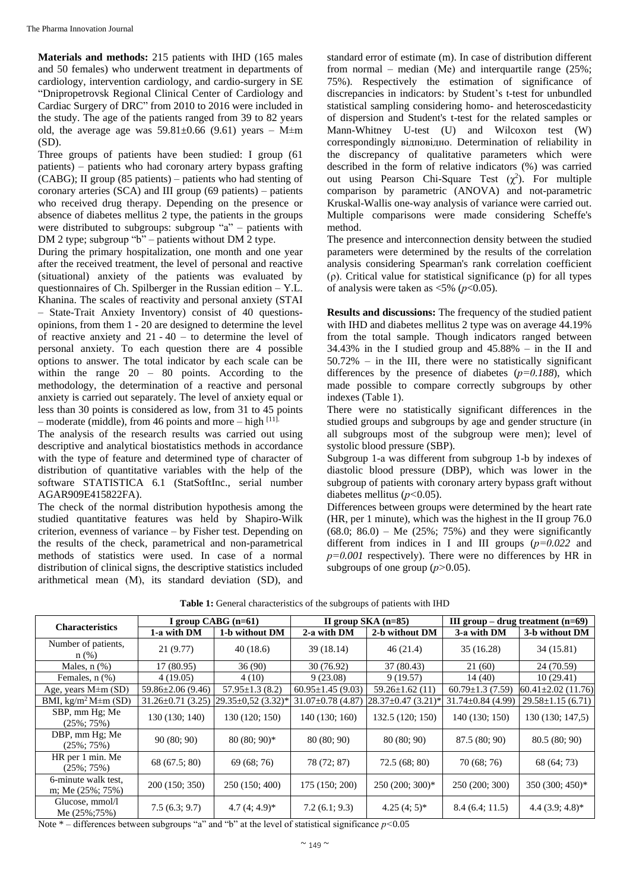**Materials and methods:** 215 patients with IHD (165 males and 50 females) who underwent treatment in departments of cardiology, intervention cardiology, and cardio-surgery in SE "Dnipropetrovsk Regional Clinical Center of Cardiology and Cardiac Surgery of DRC" from 2010 to 2016 were included in the study. The age of the patients ranged from 39 to 82 years old, the average age was  $59.81 \pm 0.66$  (9.61) years – M $\pm$ m (SD).

Three groups of patients have been studied: I group (61 patients) – patients who had coronary artery bypass grafting  $(CABG)$ ; II group (85 patients) – patients who had stenting of coronary arteries (SCA) and III group (69 patients) – patients who received drug therapy. Depending on the presence or absence of diabetes mellitus 2 type, the patients in the groups were distributed to subgroups: subgroup "a" – patients with DM 2 type; subgroup "b" – patients without DM 2 type.

During the primary hospitalization, one month and one year after the received treatment, the level of personal and reactive (situational) anxiety of the patients was evaluated by questionnaires of Ch. Spilberger in the Russian edition – Y.L. Khanina. The scales of reactivity and personal anxiety (STAI – State-Trait Anxiety Inventory) consist of 40 questionsopinions, from them 1 - 20 are designed to determine the level of reactive anxiety and 21 - 40 – to determine the level of personal anxiety. To each question there are 4 possible options to answer. The total indicator by each scale can be within the range 20 – 80 points. According to the methodology, the determination of a reactive and personal anxiety is carried out separately. The level of anxiety equal or less than 30 points is considered as low, from 31 to 45 points – moderate (middle), from 46 points and more – high  $[11]$ .

The analysis of the research results was carried out using descriptive and analytical biostatistics methods in accordance with the type of feature and determined type of character of distribution of quantitative variables with the help of the software STATISTICA 6.1 (StatSoftInc., serial number AGAR909E415822FA).

The check of the normal distribution hypothesis among the studied quantitative features was held by Shapiro-Wilk criterion, evenness of variance – by Fisher test. Depending on the results of the check, parametrical and non-parametrical methods of statistics were used. In case of a normal distribution of clinical signs, the descriptive statistics included arithmetical mean (М), its standard deviation (SD), and

standard error of estimate (m). In case of distribution different from normal – median (Me) and interquartile range  $(25\%;$ 75%). Respectively the estimation of significance of discrepancies in indicators: by Student's t-test for unbundled statistical sampling considering homo- and heteroscedasticity of dispersion and Student's t-test for the related samples or Mann-Whitney U-test (U) and Wilcoxon test (W) correspondingly відповідно. Determination of reliability in the discrepancy of qualitative parameters which were described in the form of relative indicators (%) was carried out using Pearson Chi-Square Test  $(\chi^2)$ . For multiple comparison by parametric (ANOVA) and not-parametric Kruskal-Wallis one-way analysis of variance were carried out. Multiple comparisons were made considering Scheffe's method.

The presence and interconnection density between the studied parameters were determined by the results of the correlation analysis considering Spearman's rank correlation coefficient (ρ). Critical value for statistical significance (p) for all types of analysis were taken as  $\langle 5\% (p<0.05) \rangle$ .

**Results and discussions:** The frequency of the studied patient with IHD and diabetes mellitus 2 type was on average 44.19% from the total sample. Though indicators ranged between 34.43% in the I studied group and 45.88% – in the II and 50.72% – in the III, there were no statistically significant differences by the presence of diabetes (*р=0.188*), which made possible to compare correctly subgroups by other indexes (Table 1).

There were no statistically significant differences in the studied groups and subgroups by age and gender structure (in all subgroups most of the subgroup were men); level of systolic blood pressure (SBP).

Subgroup 1-a was different from subgroup 1-b by indexes of diastolic blood pressure (DBP), which was lower in the subgroup of patients with coronary artery bypass graft without diabetes mellitus (*р<*0.05).

Differences between groups were determined by the heart rate (HR, per 1 minute), which was the highest in the II group 76.0  $(68.0; 86.0)$  – Me  $(25\%; 75\%)$  and they were significantly different from indices in I and III groups (*р=0.022* and  $p=0.001$  respectively). There were no differences by HR in subgroups of one group (*р>*0.05).

| <b>Characteristics</b>                         | I group CABG $(n=61)$   |                          | II group $SKA$ (n=85)   |                          | III group – drug treatment $(n=69)$ |                          |  |  |
|------------------------------------------------|-------------------------|--------------------------|-------------------------|--------------------------|-------------------------------------|--------------------------|--|--|
|                                                | 1-a with DM             | 1-b without DM           | 2-a with DM             | 2-b without DM           | 3-a with DM                         | 3-b without DM           |  |  |
| Number of patients,<br>$n$ (%)                 | 21(9.77)                | 40(18.6)                 | 39(18.14)               | 46(21.4)                 | 35(16.28)                           | 34(15.81)                |  |  |
| Males, $n$ $%$ )                               | 17 (80.95)              | 36(90)                   | 30(76.92)               | 37 (80.43)               | 21 (60)                             | 24 (70.59)               |  |  |
| Females, $n$ $(\%)$                            | 4(19.05)                | 4(10)                    | 9(23.08)                | 9(19.57)                 | 14(40)                              | 10(29.41)                |  |  |
| Age, years $M \pm m$ (SD)                      | $59.86 \pm 2.06(9.46)$  | $57.95 \pm 1.3$ (8.2)    | $60.95 \pm 1.45$ (9.03) | $59.26 \pm 1.62$ (11)    | 60.79 $\pm$ 1.3 (7.59)              | $60.41 \pm 2.02$ (11.76) |  |  |
| BMI, $\text{kg/m}^2\text{M} \pm \text{m (SD)}$ | $31.26 \pm 0.71$ (3.25) | $29.35 \pm 0.52$ (3.32)* | $31.07 \pm 0.78$ (4.87) | $28.37 \pm 0.47$ (3.21)* | $31.74 \pm 0.84$ (4.99)             | $29.58 \pm 1.15(6.71)$   |  |  |
| SBP, mm Hg; Me<br>$(25\%; 75\%)$               | 130 (130; 140)          | 130 (120; 150)           | 140(130; 160)           | 132.5 (120; 150)         | 140(130; 150)                       | 130 (130; 147,5)         |  |  |
| DBP, mm Hg; Me<br>$(25\%; 75\%)$               | 90(80; 90)              | $80(80; 90)*$            | 80(80; 90)              | 80(80; 90)               | 87.5(80; 90)                        | 80.5(80; 90)             |  |  |
| HR per 1 min. Me<br>$(25\%; 75\%)$             | 68 (67.5; 80)           | 69(68; 76)               | 78 (72; 87)             | 72.5(68; 80)             | 70 (68; 76)                         | 68 (64; 73)              |  |  |
| 6-minute walk test,<br>m; Me (25%; 75%)        | 200 (150; 350)          | 250 (150; 400)           | 175 (150; 200)          | $250(200; 300)*$         | 250 (200; 300)                      | 350 (300; 450)*          |  |  |
| Glucose, mmol/l<br>Me $(25\%;75\%)$            | 7.5(6.3; 9.7)           | $4.7(4; 4.9)^*$          | 7.2(6.1; 9.3)           | $4.25(4; 5)*$            | 8.4(6.4; 11.5)                      | $4.4(3.9; 4.8)*$         |  |  |

**Table 1:** General characteristics of the subgroups of patients with IHD

Note \* – differences between subgroups "a" and "b" at the level of statistical significance *р<*0.05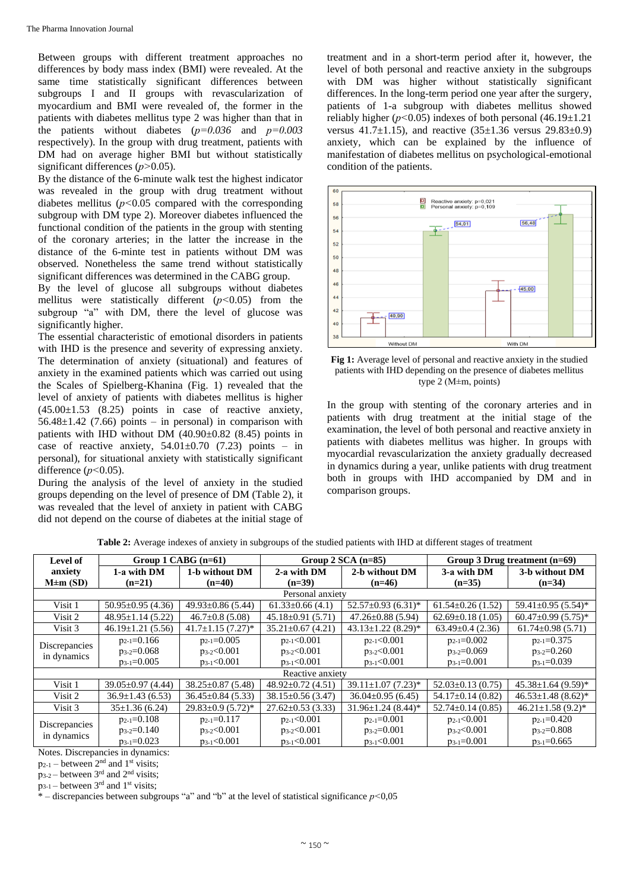Between groups with different treatment approaches no differences by body mass index (BMI) were revealed. At the same time statistically significant differences between subgroups I and II groups with revascularization of myocardium and BMI were revealed of, the former in the patients with diabetes mellitus type 2 was higher than that in the patients without diabetes (*р=0.036* and *р=0.003* respectively). In the group with drug treatment, patients with DM had on average higher BMI but without statistically significant differences (*р>*0.05).

By the distance of the 6-minute walk test the highest indicator was revealed in the group with drug treatment without diabetes mellitus (*р<*0.05 compared with the corresponding subgroup with DM type 2). Moreover diabetes influenced the functional condition of the patients in the group with stenting of the coronary arteries; in the latter the increase in the distance of the 6-minte test in patients without DM was observed. Nonetheless the same trend without statistically significant differences was determined in the CABG group.

By the level of glucose all subgroups without diabetes mellitus were statistically different (*р<*0.05) from the subgroup "a" with DM, there the level of glucose was significantly higher.

The essential characteristic of emotional disorders in patients with IHD is the presence and severity of expressing anxiety. The determination of anxiety (situational) and features of anxiety in the examined patients which was carried out using the Scales of Spielberg-Khanina (Fig. 1) revealed that the level of anxiety of patients with diabetes mellitus is higher  $(45.00 \pm 1.53 \quad (8.25)$  points in case of reactive anxiety,  $56.48 \pm 1.42$  (7.66) points – in personal) in comparison with patients with IHD without DM (40.90±0.82 (8.45) points in case of reactive anxiety,  $54.01 \pm 0.70$  (7.23) points – in personal), for situational anxiety with statistically significant difference ( $p$ <0.05).

During the analysis of the level of anxiety in the studied groups depending on the level of presence of DM (Table 2), it was revealed that the level of anxiety in patient with CABG did not depend on the course of diabetes at the initial stage of

treatment and in a short-term period after it, however, the level of both personal and reactive anxiety in the subgroups with DM was higher without statistically significant differences. In the long-term period one year after the surgery, patients of 1-a subgroup with diabetes mellitus showed reliably higher (*р<*0.05) indexes of both personal (46.19±1.21 versus  $41.7 \pm 1.15$ ), and reactive  $(35 \pm 1.36$  versus  $29.83 \pm 0.9$ ) anxiety, which can be explained by the influence of manifestation of diabetes mellitus on psychological-emotional condition of the patients.



**Fig 1:** Average level of personal and reactive anxiety in the studied patients with IHD depending on the presence of diabetes mellitus type 2 (М±m, points)

In the group with stenting of the coronary arteries and in patients with drug treatment at the initial stage of the examination, the level of both personal and reactive anxiety in patients with diabetes mellitus was higher. In groups with myocardial revascularization the anxiety gradually decreased in dynamics during a year, unlike patients with drug treatment both in groups with IHD accompanied by DM and in comparison groups.

| <b>Level of</b>                                                                  | Group 1 $CABG$ (n=61)   |                                     |                         | Group $2$ SCA (n=85)     | Group 3 Drug treatment $(n=69)$ |                                      |  |  |  |  |  |
|----------------------------------------------------------------------------------|-------------------------|-------------------------------------|-------------------------|--------------------------|---------------------------------|--------------------------------------|--|--|--|--|--|
| anxiety                                                                          | 1-a with DM             | 1-b without DM                      | 2-a with DM             | 2-b without DM           | 3-a with DM                     | 3-b without DM                       |  |  |  |  |  |
| $M \pm m$ (SD)                                                                   | $(n=21)$                | $(n=40)$                            | $(n=39)$                | $(n=46)$                 | $(n=35)$                        | $(n=34)$                             |  |  |  |  |  |
| Personal anxiety                                                                 |                         |                                     |                         |                          |                                 |                                      |  |  |  |  |  |
| Visit 1                                                                          | $50.95 \pm 0.95$ (4.36) | $49.93 \pm 0.86$ (5.44)             | $61.33 \pm 0.66$ (4.1)  | $52.57 \pm 0.93$ (6.31)* | $61.54 \pm 0.26$ (1.52)         | $59.41 \pm 0.95$ (5.54)*             |  |  |  |  |  |
| Visit 2                                                                          | $48.95 \pm 1.14$ (5.22) | $46.7 \pm 0.8$ (5.08)               | $45.18 \pm 0.91$ (5.71) | $47.26 \pm 0.88$ (5.94)  | $62.69 \pm 0.18$ (1.05)         | $60.47 \pm 0.99$ $(5.75)^*$          |  |  |  |  |  |
| Visit 3                                                                          | $46.19 \pm 1.21$ (5.56) | $41.7 \pm 1.15$ (7.27)*             | $35.21 \pm 0.67$ (4.21) | $43.13 \pm 1.22$ (8.29)* | $63.49 \pm 0.4$ (2.36)          | $61.74 \pm 0.98$ (5.71)              |  |  |  |  |  |
| Discrepancies<br>in dynamics                                                     | $p_{2-1}=0.166$         | $p_{2-1}=0.005$                     | $p_{2-1} < 0.001$       | $p_{2-1} < 0.001$        | $p_{2-1}=0.002$                 | $p_{2-1}=0.375$                      |  |  |  |  |  |
|                                                                                  | $p_{3-2}=0.068$         | $p_{3-2} < 0.001$                   | $p_{3-2} < 0.001$       | $p_{3-2} < 0.001$        | $p_{3-2}=0.069$                 | $p_{3-2}=0.260$                      |  |  |  |  |  |
|                                                                                  | $p_{3-1}=0.005$         | $p_{3-1} < 0.001$                   | $p_{3-1} < 0.001$       | $p_{3-1} < 0.001$        | $p_{3-1}=0.001$                 | $p_{3-1}=0.039$                      |  |  |  |  |  |
| Reactive anxiety                                                                 |                         |                                     |                         |                          |                                 |                                      |  |  |  |  |  |
| Visit 1                                                                          | $39.05 \pm 0.97$ (4.44) | $38.25 \pm 0.87$ (5.48)             | $48.92 \pm 0.72$ (4.51) | $39.11 \pm 1.07$ (7.23)* | $52.03 \pm 0.13$ (0.75)         | $45.38 \pm 1.64$ (9.59) <sup>*</sup> |  |  |  |  |  |
| Visit 2                                                                          | $36.9 \pm 1.43(6.53)$   | $36.45 \pm 0.84$ (5.33)             | 38.15±0.56 (3.47)       | $36.04 \pm 0.95(6.45)$   | $54.17\pm0.14(0.82)$            | $46.53 \pm 1.48$ (8.62)*             |  |  |  |  |  |
| Visit 3                                                                          | $35\pm1.36(6.24)$       | $29.83 \pm 0.9$ (5.72) <sup>*</sup> | $27.62 \pm 0.53$ (3.33) | $31.96 \pm 1.24$ (8.44)* | $52.74 \pm 0.14$ (0.85)         | $46.21 \pm 1.58$ (9.2) <sup>*</sup>  |  |  |  |  |  |
| Discrepancies<br>in dynamics                                                     | $p_{2-1}=0.108$         | $p_{2-1}=0.117$                     | $p_{2-1} < 0.001$       | $p_{2-1}=0.001$          | $p_{2-1} < 0.001$               | $p_{2-1}=0.420$                      |  |  |  |  |  |
|                                                                                  | $p_{3-2}=0.140$         | $p_{3-2} < 0.001$                   | $p_{3-2} < 0.001$       | $p_{3-2}=0.001$          | $p_{3-2} < 0.001$               | $p_{3-2}=0.808$                      |  |  |  |  |  |
|                                                                                  | $p_{3-1} = 0.023$       | $p_{3-1} < 0.001$                   | $p_{3-1} < 0.001$       | $p_{3-1} < 0.001$        | $p_{3-1}=0.001$                 | $p_{3-1}=0.665$                      |  |  |  |  |  |
| $\mathbf{M}$ $\mathbf{N}$ $\mathbf{N}$ $\mathbf{N}$<br>$-1$ , $-1$ , $-1$ , $-1$ |                         |                                     |                         |                          |                                 |                                      |  |  |  |  |  |

**Table 2:** Average indexes of anxiety in subgroups of the studied patients with IHD at different stages of treatment

Notes. Discrepancies in dynamics:

 $p_{2-1}$  – between  $2^{nd}$  and  $1^{st}$  visits;  $p_{3-2}$  – between 3<sup>rd</sup> and 2<sup>nd</sup> visits;

 $p_{3-1}$  – between 3<sup>rd</sup> and 1<sup>st</sup> visits;

\* – discrepancies between subgroups "a" and "b" at the level of statistical significance *р<*0,05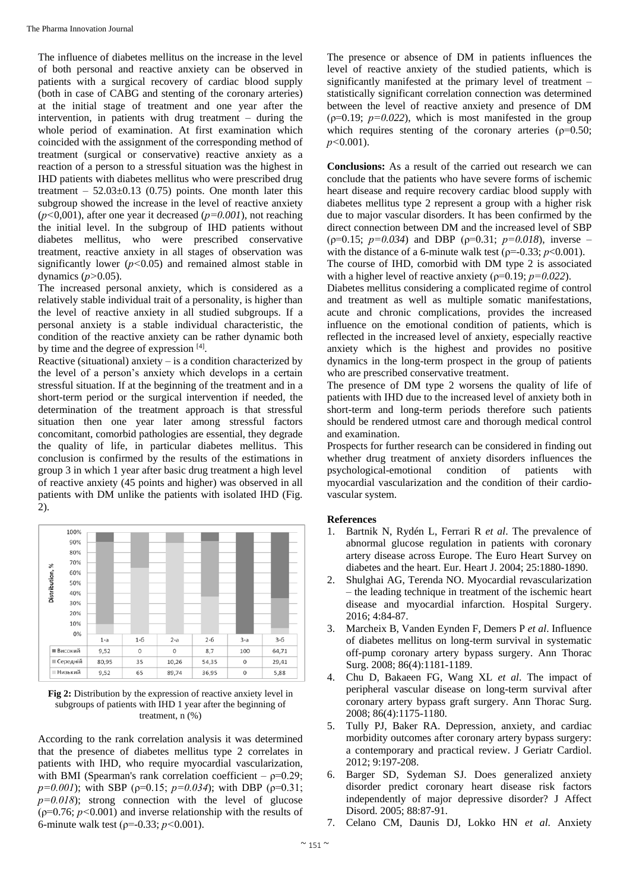The influence of diabetes mellitus on the increase in the level of both personal and reactive anxiety can be observed in patients with a surgical recovery of cardiac blood supply (both in case of CABG and stenting of the coronary arteries) at the initial stage of treatment and one year after the intervention, in patients with drug treatment – during the whole period of examination. At first examination which coincided with the assignment of the corresponding method of treatment (surgical or conservative) reactive anxiety as a reaction of a person to a stressful situation was the highest in IHD patients with diabetes mellitus who were prescribed drug treatment –  $52.03 \pm 0.13$  (0.75) points. One month later this subgroup showed the increase in the level of reactive anxiety (*р<*0,001), after one year it decreased (*р=0.001*), not reaching the initial level. In the subgroup of IHD patients without diabetes mellitus, who were prescribed conservative treatment, reactive anxiety in all stages of observation was significantly lower  $(p<0.05)$  and remained almost stable in dynamics (*р>*0.05).

The increased personal anxiety, which is considered as a relatively stable individual trait of a personality, is higher than the level of reactive anxiety in all studied subgroups. If a personal anxiety is a stable individual characteristic, the condition of the reactive anxiety can be rather dynamic both by time and the degree of expression [4].

Reactive (situational) anxiety  $-$  is a condition characterized by the level of a person's anxiety which develops in a certain stressful situation. If at the beginning of the treatment and in a short-term period or the surgical intervention if needed, the determination of the treatment approach is that stressful situation then one year later among stressful factors concomitant, comorbid pathologies are essential, they degrade the quality of life, in particular diabetes mellitus. This conclusion is confirmed by the results of the estimations in group 3 in which 1 year after basic drug treatment a high level of reactive anxiety (45 points and higher) was observed in all patients with DM unlike the patients with isolated IHD (Fig. 2).



**Fig 2:** Distribution by the expression of reactive anxiety level in subgroups of patients with IHD 1 year after the beginning of treatment, n (%)

According to the rank correlation analysis it was determined that the presence of diabetes mellitus type 2 correlates in patients with IHD, who require myocardial vascularization, with BMI (Spearman's rank correlation coefficient –  $\rho$ =0.29;  $p=0.001$ ); with SBP ( $p=0.15$ ;  $p=0.034$ ); with DBP ( $p=0.31$ ;  $p=0.018$ ; strong connection with the level of glucose (ρ=0.76; *р<*0.001) and inverse relationship with the results of 6-minute walk test (ρ=-0.33; *р<*0.001).

The presence or absence of DM in patients influences the level of reactive anxiety of the studied patients, which is significantly manifested at the primary level of treatment – statistically significant correlation connection was determined between the level of reactive anxiety and presence of DM  $(p=0.19; p=0.022)$ , which is most manifested in the group which requires stenting of the coronary arteries ( $\rho$ =0.50; *р<*0.001).

**Conclusions:** As a result of the carried out research we can conclude that the patients who have severe forms of ischemic heart disease and require recovery cardiac blood supply with diabetes mellitus type 2 represent a group with a higher risk due to major vascular disorders. It has been confirmed by the direct connection between DM and the increased level of SBP  $(p=0.15; p=0.034)$  and DBP  $(p=0.31; p=0.018)$ , inverse – with the distance of a 6-minute walk test ( $\rho$ =-0.33; *p*<0.001). The course of IHD, comorbid with DM type 2 is associated

with a higher level of reactive anxiety ( $\rho$ =0.19;  $p$ =0.022).

Diabetes mellitus considering a complicated regime of control and treatment as well as multiple somatic manifestations, acute and chronic complications, provides the increased influence on the emotional condition of patients, which is reflected in the increased level of anxiety, especially reactive anxiety which is the highest and provides no positive dynamics in the long-term prospect in the group of patients who are prescribed conservative treatment.

The presence of DM type 2 worsens the quality of life of patients with IHD due to the increased level of anxiety both in short-term and long-term periods therefore such patients should be rendered utmost care and thorough medical control and examination.

Prospects for further research can be considered in finding out whether drug treatment of anxiety disorders influences the psychological-emotional condition of patients with myocardial vascularization and the condition of their cardiovascular system.

# **References**

- 1. Bartnik N, Rydén L, Ferrari R *et al*. The prevalence of abnormal glucose regulation in patients with coronary artery disease across Europe. The Euro Heart Survey on diabetes and the heart. Eur. Heart J. 2004; 25:1880-1890.
- 2. Shulghai AG, Terenda NO. Myocardial revascularization – the leading technique in treatment of the ischemic heart disease and myocardial infarction. Hospital Surgery. 2016; 4:84-87.
- 3. Marcheix B, Vanden Eynden F, Demers P *et al*. Influence of diabetes mellitus on long-term survival in systematic off-pump coronary artery bypass surgery. Ann Thorac Surg. 2008; 86(4):1181-1189.
- 4. Chu D, Bakaeen FG, Wang XL *et al*. The impact of peripheral vascular disease on long-term survival after coronary artery bypass graft surgery. Ann Thorac Surg. 2008; 86(4):1175-1180.
- 5. Tully PJ, Baker RA. Depression, anxiety, and cardiac morbidity outcomes after coronary artery bypass surgery: a contemporary and practical review. J Geriatr Cardiol. 2012; 9:197-208.
- 6. Barger SD, Sydeman SJ. Does generalized anxiety disorder predict coronary heart disease risk factors independently of major depressive disorder? J Affect Disord. 2005; 88:87-91.
- 7. Celano CM, Daunis DJ, Lokko HN *et al*. Anxiety